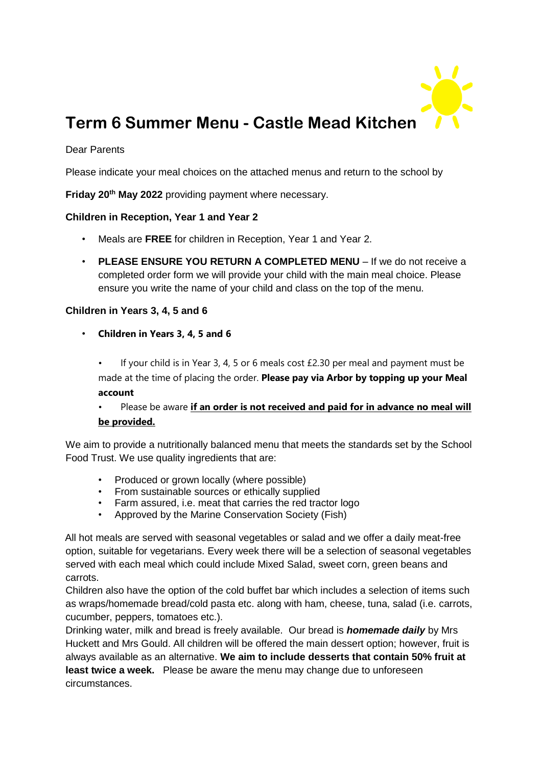

# **Term 6 Summer Menu - Castle Mead Kitchen**

#### Dear Parents

Please indicate your meal choices on the attached menus and return to the school by

**Friday 20th May 2022** providing payment where necessary.

#### **Children in Reception, Year 1 and Year 2**

- Meals are **FREE** for children in Reception, Year 1 and Year 2.
- **PLEASE ENSURE YOU RETURN A COMPLETED MENU** If we do not receive a completed order form we will provide your child with the main meal choice. Please ensure you write the name of your child and class on the top of the menu.

#### **Children in Years 3, 4, 5 and 6**

• **Children in Years 3, 4, 5 and 6**

If your child is in Year 3, 4, 5 or 6 meals cost  $£2.30$  per meal and payment must be made at the time of placing the order. **Please pay via Arbor by topping up your Meal account**

## • Please be aware **if an order is not received and paid for in advance no meal will be provided.**

We aim to provide a nutritionally balanced menu that meets the standards set by the School Food Trust. We use quality ingredients that are:

- Produced or grown locally (where possible)
- From sustainable sources or ethically supplied
- Farm assured, i.e. meat that carries the red tractor logo
- Approved by the Marine Conservation Society (Fish)

All hot meals are served with seasonal vegetables or salad and we offer a daily meat-free option, suitable for vegetarians. Every week there will be a selection of seasonal vegetables served with each meal which could include Mixed Salad, sweet corn, green beans and carrots.

Children also have the option of the cold buffet bar which includes a selection of items such as wraps/homemade bread/cold pasta etc. along with ham, cheese, tuna, salad (i.e. carrots, cucumber, peppers, tomatoes etc.).

Drinking water, milk and bread is freely available. Our bread is *homemade daily* by Mrs Huckett and Mrs Gould. All children will be offered the main dessert option; however, fruit is always available as an alternative. **We aim to include desserts that contain 50% fruit at least twice a week.** Please be aware the menu may change due to unforeseen circumstances.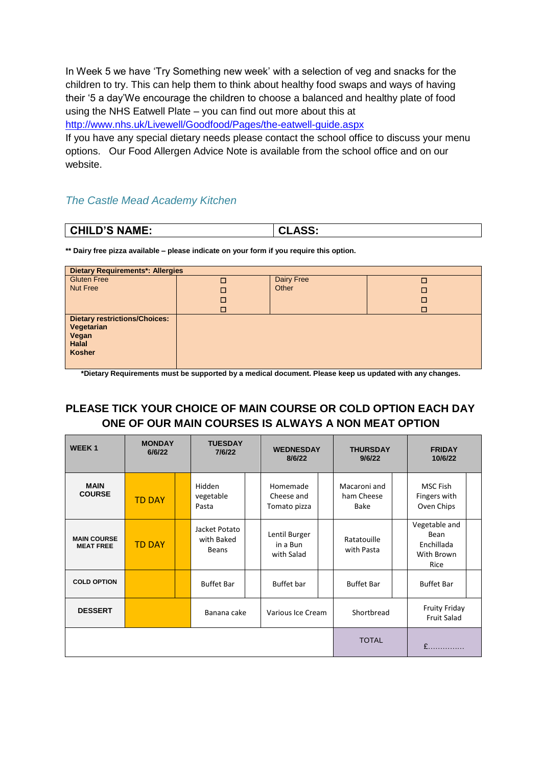In Week 5 we have 'Try Something new week' with a selection of veg and snacks for the children to try. This can help them to think about healthy food swaps and ways of having their '5 a day'We encourage the children to choose a balanced and healthy plate of food using the NHS Eatwell Plate – you can find out more about this at

<http://www.nhs.uk/Livewell/Goodfood/Pages/the-eatwell-guide.aspx>

If you have any special dietary needs please contact the school office to discuss your menu options. Our Food Allergen Advice Note is available from the school office and on our website.

### *The Castle Mead Academy Kitchen*

| <b>CHILD'S NAME:</b> | <b>CLASS:</b> |
|----------------------|---------------|

**\*\* Dairy free pizza available – please indicate on your form if you require this option.**

| <b>Dietary Requirements*: Allergies</b>                                                      |   |            |   |  |  |  |  |  |
|----------------------------------------------------------------------------------------------|---|------------|---|--|--|--|--|--|
| <b>Gluten Free</b>                                                                           | Г | Dairy Free | Г |  |  |  |  |  |
| <b>Nut Free</b>                                                                              |   | Other      | ш |  |  |  |  |  |
|                                                                                              | □ |            | П |  |  |  |  |  |
|                                                                                              | □ |            | П |  |  |  |  |  |
| <b>Dietary restrictions/Choices:</b><br>Vegetarian<br>Vegan<br><b>Halal</b><br><b>Kosher</b> |   |            |   |  |  |  |  |  |

**\*Dietary Requirements must be supported by a medical document. Please keep us updated with any changes.** 

## **PLEASE TICK YOUR CHOICE OF MAIN COURSE OR COLD OPTION EACH DAY ONE OF OUR MAIN COURSES IS ALWAYS A NON MEAT OPTION**

| <b>WEEK1</b>                           | <b>MONDAY</b><br>6/6/22 | <b>TUESDAY</b><br>7/6/22             |  | <b>WEDNESDAY</b><br>8/6/22              |  | <b>THURSDAY</b><br>9/6/22          |  | <b>FRIDAY</b><br>10/6/22                                  |
|----------------------------------------|-------------------------|--------------------------------------|--|-----------------------------------------|--|------------------------------------|--|-----------------------------------------------------------|
| <b>MAIN</b><br><b>COURSE</b>           | <b>TD DAY</b>           | Hidden<br>vegetable<br>Pasta         |  | Homemade<br>Cheese and<br>Tomato pizza  |  | Macaroni and<br>ham Cheese<br>Bake |  | <b>MSC Fish</b><br>Fingers with<br>Oven Chips             |
| <b>MAIN COURSE</b><br><b>MEAT FREE</b> | <b>TD DAY</b>           | Jacket Potato<br>with Baked<br>Beans |  | Lentil Burger<br>in a Bun<br>with Salad |  | Ratatouille<br>with Pasta          |  | Vegetable and<br>Bean<br>Enchillada<br>With Brown<br>Rice |
| <b>COLD OPTION</b>                     |                         | <b>Buffet Bar</b>                    |  | <b>Buffet</b> bar                       |  | <b>Buffet Bar</b>                  |  | <b>Buffet Bar</b>                                         |
| <b>DESSERT</b>                         |                         | Banana cake                          |  | Various Ice Cream                       |  | Shortbread                         |  | <b>Fruity Friday</b><br><b>Fruit Salad</b>                |
|                                        |                         |                                      |  |                                         |  | <b>TOTAL</b>                       |  | £                                                         |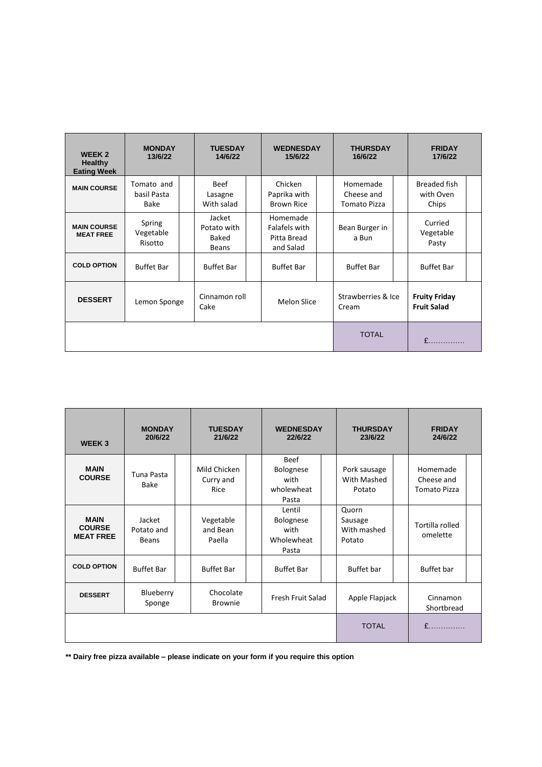| <b>WEEK 2</b><br>Healthy<br><b>Eating Week</b> | <b>MONDAY</b><br>13/6/22          | <b>TUESDAY</b><br>14/6/22                             | <b>WEDNESDAY</b><br>15/6/22                           | <b>THURSDAY</b><br>16/6/22             | <b>FRIDAY</b><br>17/6/22                   |
|------------------------------------------------|-----------------------------------|-------------------------------------------------------|-------------------------------------------------------|----------------------------------------|--------------------------------------------|
| <b>MAIN COURSE</b>                             | Tomato and<br>basil Pasta<br>Bake | <b>Beef</b><br>Lasagne<br>With salad                  | Chicken<br>Paprika with<br><b>Brown Rice</b>          | Homemade<br>Cheese and<br>Tomato Pizza | <b>Breaded fish</b><br>with Oven<br>Chips  |
| <b>MAIN COURSE</b><br><b>MEAT FREE</b>         | Spring<br>Vegetable<br>Risotto    | Jacket<br>Potato with<br><b>Baked</b><br><b>Beans</b> | Homemade<br>Falafels with<br>Pitta Bread<br>and Salad | Bean Burger in<br>a Bun                | Curried<br>Vegetable<br>Pasty              |
| <b>COLD OPTION</b>                             | <b>Buffet Bar</b>                 | <b>Buffet Bar</b>                                     | <b>Buffet Bar</b>                                     | <b>Buffet Bar</b>                      | <b>Buffet Bar</b>                          |
| <b>DESSERT</b>                                 | Lemon Sponge                      | Cinnamon roll<br>Cake                                 | <b>Melon Slice</b>                                    | Strawberries & Ice<br>Cream            | <b>Fruity Friday</b><br><b>Fruit Salad</b> |
|                                                |                                   | <b>TOTAL</b>                                          | £                                                     |                                        |                                            |

| WEEK <sub>3</sub>                                | <b>MONDAY</b><br>20/6/22             | <b>TUESDAY</b><br>21/6/22                        | <b>WEDNESDAY</b><br>22/6/22                               | <b>THURSDAY</b><br>23/6/22                | <b>FRIDAY</b><br>24/6/22                                                     |  |
|--------------------------------------------------|--------------------------------------|--------------------------------------------------|-----------------------------------------------------------|-------------------------------------------|------------------------------------------------------------------------------|--|
| <b>MAIN</b><br><b>COURSE</b>                     | Tuna Pasta<br>Bake                   | Mild Chicken<br>Curry and<br>Rice                | Beef<br><b>Bolognese</b><br>with<br>wholewheat<br>Pasta   | Pork sausage<br>With Mashed<br>Potato     | Homemade<br>Cheese and<br><b>Tomato Pizza</b>                                |  |
| <b>MAIN</b><br><b>COURSE</b><br><b>MEAT FREE</b> | Jacket<br>Potato and<br><b>Beans</b> | Vegetable<br>and Bean<br>Paella                  | Lentil<br><b>Bolognese</b><br>with<br>Wholewheat<br>Pasta | Quorn<br>Sausage<br>With mashed<br>Potato | Tortilla rolled<br>omelette                                                  |  |
| <b>COLD OPTION</b>                               | <b>Buffet Bar</b>                    | <b>Buffet Bar</b>                                | <b>Buffet Bar</b>                                         | <b>Buffet</b> bar                         | Buffet bar                                                                   |  |
| <b>DESSERT</b>                                   | Blueberry<br>Sponge                  | Chocolate<br>Fresh Fruit Salad<br><b>Brownie</b> |                                                           | Apple Flapjack                            | Cinnamon<br>Shortbread                                                       |  |
|                                                  |                                      |                                                  |                                                           | <b>TOTAL</b>                              | $f$ <sub>1111</sub> , 11 <sub>11</sub> , 11 <sub>11</sub> , 11 <sub>11</sub> |  |

**\*\* Dairy free pizza available – please indicate on your form if you require this option**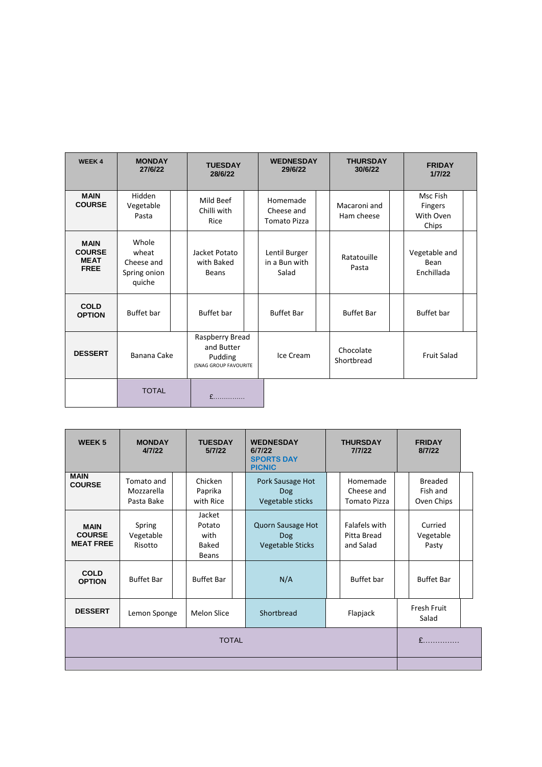| <b>WEEK4</b>                                               | <b>MONDAY</b><br>27/6/22                                                         | <b>TUESDAY</b><br>28/6/22                   | <b>WEDNESDAY</b><br>29/6/22                   | <b>THURSDAY</b><br>30/6/22 | <b>FRIDAY</b><br>1/7/22                   |
|------------------------------------------------------------|----------------------------------------------------------------------------------|---------------------------------------------|-----------------------------------------------|----------------------------|-------------------------------------------|
| <b>MAIN</b><br><b>COURSE</b>                               | Hidden<br>Vegetable<br>Pasta                                                     | Mild Beef<br>Chilli with<br>Rice            | Homemade<br>Cheese and<br><b>Tomato Pizza</b> | Macaroni and<br>Ham cheese | Msc Fish<br>Fingers<br>With Oven<br>Chips |
| <b>MAIN</b><br><b>COURSE</b><br><b>MEAT</b><br><b>FREE</b> | Whole<br>wheat<br>Cheese and<br>Spring onion<br>quiche                           | Jacket Potato<br>with Baked<br><b>Beans</b> | Lentil Burger<br>in a Bun with<br>Salad       | Ratatouille<br>Pasta       | Vegetable and<br>Bean<br>Enchillada       |
| <b>COLD</b><br><b>OPTION</b>                               | Buffet bar                                                                       | <b>Buffet</b> bar                           | <b>Buffet Bar</b>                             | <b>Buffet Bar</b>          | <b>Buffet</b> bar                         |
| <b>DESSERT</b>                                             | Raspberry Bread<br>and Butter<br>Banana Cake<br>Pudding<br>(SNAG GROUP FAVOURITE |                                             | Ice Cream                                     | Chocolate<br>Shortbread    | <b>Fruit Salad</b>                        |
|                                                            | <b>TOTAL</b>                                                                     | $f$                                         |                                               |                            |                                           |

| <b>WEEK5</b>                                     | <b>MONDAY</b><br>4/7/22                | <b>TUESDAY</b><br>5/7/22                   | <b>WEDNESDAY</b><br><b>THURSDAY</b><br>7/7/22<br>6/7/22<br><b>SPORTS DAY</b><br><b>PICNIC</b> |                                           | <b>FRIDAY</b><br>8/7/22                  |  |
|--------------------------------------------------|----------------------------------------|--------------------------------------------|-----------------------------------------------------------------------------------------------|-------------------------------------------|------------------------------------------|--|
| <b>MAIN</b><br><b>COURSE</b>                     | Tomato and<br>Mozzarella<br>Pasta Bake | Chicken<br>Paprika<br>with Rice            | Pork Sausage Hot<br><b>Dog</b><br>Vegetable sticks                                            | Homemade<br>Cheese and<br>Tomato Pizza    | <b>Breaded</b><br>Fish and<br>Oven Chips |  |
| <b>MAIN</b><br><b>COURSE</b><br><b>MEAT FREE</b> | Spring<br>Vegetable<br>Risotto         | Jacket<br>Potato<br>with<br>Baked<br>Beans | Quorn Sausage Hot<br><b>Dog</b><br><b>Vegetable Sticks</b>                                    | Falafels with<br>Pitta Bread<br>and Salad | Curried<br>Vegetable<br>Pasty            |  |
| <b>COLD</b><br><b>OPTION</b>                     | <b>Buffet Bar</b>                      | <b>Buffet Bar</b>                          | N/A                                                                                           | <b>Buffet</b> bar                         | <b>Buffet Bar</b>                        |  |
| <b>DESSERT</b>                                   | Lemon Sponge                           | <b>Melon Slice</b>                         | Shortbread                                                                                    | Flapjack                                  | Fresh Fruit<br>Salad                     |  |
|                                                  | $E$                                    |                                            |                                                                                               |                                           |                                          |  |
|                                                  |                                        |                                            |                                                                                               |                                           |                                          |  |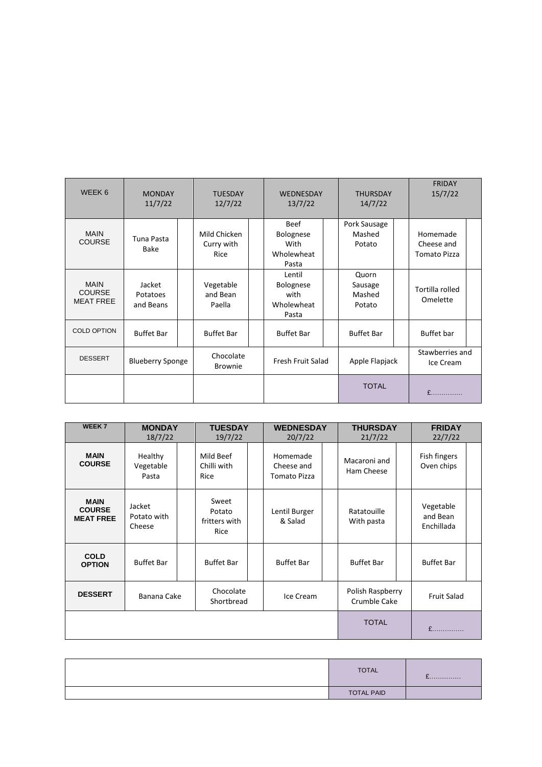| WEEK 6                                           | <b>MONDAY</b><br>11/7/22        | <b>TUESDAY</b><br>12/7/22          | <b>WEDNESDAY</b><br>13/7/22                             |  | <b>THURSDAY</b><br>14/7/22           | <b>FRIDAY</b><br>15/7/22                      |  |
|--------------------------------------------------|---------------------------------|------------------------------------|---------------------------------------------------------|--|--------------------------------------|-----------------------------------------------|--|
| <b>MAIN</b><br><b>COURSE</b>                     | Tuna Pasta<br>Bake              | Mild Chicken<br>Curry with<br>Rice | Beef<br><b>Bolognese</b><br>With<br>Wholewheat<br>Pasta |  | Pork Sausage<br>Mashed<br>Potato     | Homemade<br>Cheese and<br><b>Tomato Pizza</b> |  |
| <b>MAIN</b><br><b>COURSE</b><br><b>MEAT FREE</b> | Jacket<br>Potatoes<br>and Beans | Vegetable<br>and Bean<br>Paella    | Lentil<br>Bolognese<br>with<br>Wholewheat<br>Pasta      |  | Quorn<br>Sausage<br>Mashed<br>Potato | Tortilla rolled<br>Omelette                   |  |
| <b>COLD OPTION</b>                               | <b>Buffet Bar</b>               | <b>Buffet Bar</b>                  | <b>Buffet Bar</b>                                       |  | <b>Buffet Bar</b>                    | Buffet bar                                    |  |
| <b>DESSERT</b>                                   | <b>Blueberry Sponge</b>         | Chocolate<br><b>Brownie</b>        | Fresh Fruit Salad                                       |  | Apple Flapjack                       | Stawberries and<br>Ice Cream                  |  |
|                                                  |                                 |                                    |                                                         |  | <b>TOTAL</b>                         | $f$ and $f$                                   |  |

| <b>WEEK7</b>                                     | <b>MONDAY</b><br>18/7/22        | <b>TUESDAY</b><br>19/7/22                |                                      | <b>WEDNESDAY</b><br>20/7/22                   |                                  | <b>THURSDAY</b><br>21/7/22 |                    | <b>FRIDAY</b><br>22/7/22            |  |
|--------------------------------------------------|---------------------------------|------------------------------------------|--------------------------------------|-----------------------------------------------|----------------------------------|----------------------------|--------------------|-------------------------------------|--|
| <b>MAIN</b><br><b>COURSE</b>                     | Healthy<br>Vegetable<br>Pasta   | Mild Beef<br>Chilli with<br>Rice         |                                      | Homemade<br>Cheese and<br><b>Tomato Pizza</b> |                                  | Macaroni and<br>Ham Cheese |                    | Fish fingers<br>Oven chips          |  |
| <b>MAIN</b><br><b>COURSE</b><br><b>MEAT FREE</b> | Jacket<br>Potato with<br>Cheese | Sweet<br>Potato<br>fritters with<br>Rice |                                      | Lentil Burger<br>& Salad                      |                                  | Ratatouille<br>With pasta  |                    | Vegetable<br>and Bean<br>Enchillada |  |
| <b>COLD</b><br><b>OPTION</b>                     | <b>Buffet Bar</b>               | <b>Buffet Bar</b>                        |                                      | <b>Buffet Bar</b>                             |                                  | <b>Buffet Bar</b>          |                    | <b>Buffet Bar</b>                   |  |
| <b>DESSERT</b>                                   | Banana Cake                     |                                          | Chocolate<br>Ice Cream<br>Shortbread |                                               | Polish Raspberry<br>Crumble Cake |                            | <b>Fruit Salad</b> |                                     |  |
|                                                  |                                 |                                          |                                      |                                               |                                  | <b>TOTAL</b>               |                    | $f$                                 |  |

| <b>TOTAL</b>      | L. |
|-------------------|----|
| <b>TOTAL PAID</b> |    |